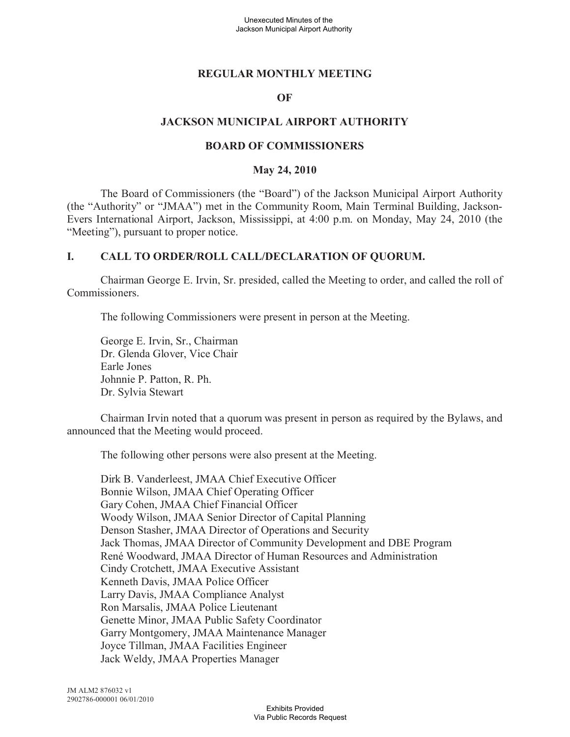## **REGULAR MONTHLY MEETING**

#### **OF**

### **JACKSON MUNICIPAL AIRPORT AUTHORITY**

#### **BOARD OF COMMISSIONERS**

#### **May 24, 2010**

The Board of Commissioners (the "Board") of the Jackson Municipal Airport Authority (the "Authority" or "JMAA") met in the Community Room, Main Terminal Building, Jackson-Evers International Airport, Jackson, Mississippi, at 4:00 p.m. on Monday, May 24, 2010 (the "Meeting"), pursuant to proper notice.

### **I. CALL TO ORDER/ROLL CALL/DECLARATION OF QUORUM.**

Chairman George E. Irvin, Sr. presided, called the Meeting to order, and called the roll of Commissioners.

The following Commissioners were present in person at the Meeting.

George E. Irvin, Sr., Chairman Dr. Glenda Glover, Vice Chair Earle Jones Johnnie P. Patton, R. Ph. Dr. Sylvia Stewart

Chairman Irvin noted that a quorum was present in person as required by the Bylaws, and announced that the Meeting would proceed.

The following other persons were also present at the Meeting.

Dirk B. Vanderleest, JMAA Chief Executive Officer Bonnie Wilson, JMAA Chief Operating Officer Gary Cohen, JMAA Chief Financial Officer Woody Wilson, JMAA Senior Director of Capital Planning Denson Stasher, JMAA Director of Operations and Security Jack Thomas, JMAA Director of Community Development and DBE Program René Woodward, JMAA Director of Human Resources and Administration Cindy Crotchett, JMAA Executive Assistant Kenneth Davis, JMAA Police Officer Larry Davis, JMAA Compliance Analyst Ron Marsalis, JMAA Police Lieutenant Genette Minor, JMAA Public Safety Coordinator Garry Montgomery, JMAA Maintenance Manager Joyce Tillman, JMAA Facilities Engineer Jack Weldy, JMAA Properties Manager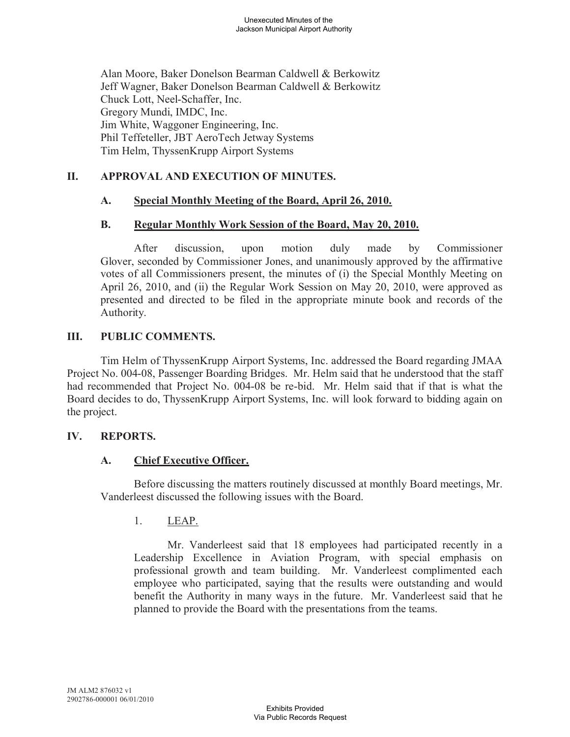Alan Moore, Baker Donelson Bearman Caldwell & Berkowitz Jeff Wagner, Baker Donelson Bearman Caldwell & Berkowitz Chuck Lott, Neel-Schaffer, Inc. Gregory Mundi, IMDC, Inc. Jim White, Waggoner Engineering, Inc. Phil Teffeteller, JBT AeroTech Jetway Systems Tim Helm, ThyssenKrupp Airport Systems

## **II. APPROVAL AND EXECUTION OF MINUTES.**

### **A. Special Monthly Meeting of the Board, April 26, 2010.**

#### **B. Regular Monthly Work Session of the Board, May 20, 2010.**

After discussion, upon motion duly made by Commissioner Glover, seconded by Commissioner Jones, and unanimously approved by the affirmative votes of all Commissioners present, the minutes of (i) the Special Monthly Meeting on April 26, 2010, and (ii) the Regular Work Session on May 20, 2010, were approved as presented and directed to be filed in the appropriate minute book and records of the Authority.

### **III. PUBLIC COMMENTS.**

Tim Helm of ThyssenKrupp Airport Systems, Inc. addressed the Board regarding JMAA Project No. 004-08, Passenger Boarding Bridges. Mr. Helm said that he understood that the staff had recommended that Project No. 004-08 be re-bid. Mr. Helm said that if that is what the Board decides to do, ThyssenKrupp Airport Systems, Inc. will look forward to bidding again on the project.

#### **IV. REPORTS.**

## **A. Chief Executive Officer.**

Before discussing the matters routinely discussed at monthly Board meetings, Mr. Vanderleest discussed the following issues with the Board.

## 1. LEAP.

Mr. Vanderleest said that 18 employees had participated recently in a Leadership Excellence in Aviation Program, with special emphasis on professional growth and team building. Mr. Vanderleest complimented each employee who participated, saying that the results were outstanding and would benefit the Authority in many ways in the future. Mr. Vanderleest said that he planned to provide the Board with the presentations from the teams.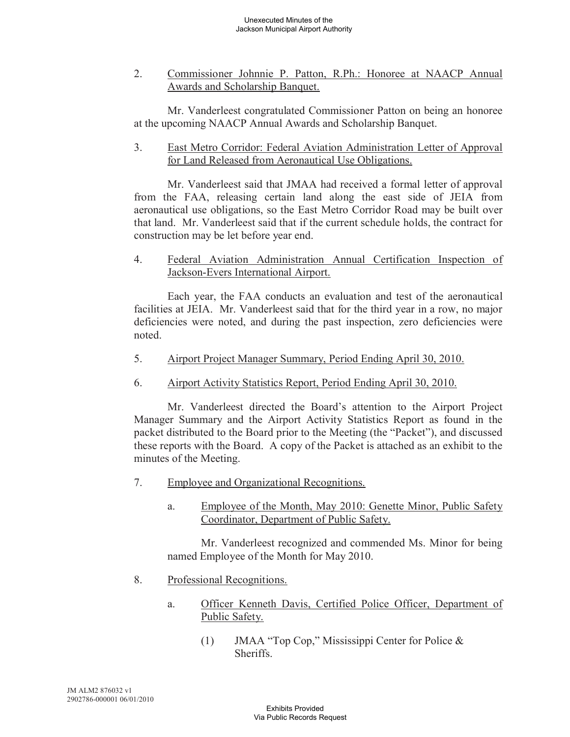2. Commissioner Johnnie P. Patton, R.Ph.: Honoree at NAACP Annual Awards and Scholarship Banquet.

Mr. Vanderleest congratulated Commissioner Patton on being an honoree at the upcoming NAACP Annual Awards and Scholarship Banquet.

3. East Metro Corridor: Federal Aviation Administration Letter of Approval for Land Released from Aeronautical Use Obligations.

Mr. Vanderleest said that JMAA had received a formal letter of approval from the FAA, releasing certain land along the east side of JEIA from aeronautical use obligations, so the East Metro Corridor Road may be built over that land. Mr. Vanderleest said that if the current schedule holds, the contract for construction may be let before year end.

4. Federal Aviation Administration Annual Certification Inspection of Jackson-Evers International Airport.

Each year, the FAA conducts an evaluation and test of the aeronautical facilities at JEIA. Mr. Vanderleest said that for the third year in a row, no major deficiencies were noted, and during the past inspection, zero deficiencies were noted.

- 5. Airport Project Manager Summary, Period Ending April 30, 2010.
- 6. Airport Activity Statistics Report, Period Ending April 30, 2010.

Mr. Vanderleest directed the Board's attention to the Airport Project Manager Summary and the Airport Activity Statistics Report as found in the packet distributed to the Board prior to the Meeting (the "Packet"), and discussed these reports with the Board. A copy of the Packet is attached as an exhibit to the minutes of the Meeting.

- 7. Employee and Organizational Recognitions.
	- a. Employee of the Month, May 2010: Genette Minor, Public Safety Coordinator, Department of Public Safety.

Mr. Vanderleest recognized and commended Ms. Minor for being named Employee of the Month for May 2010.

- 8. Professional Recognitions.
	- a. Officer Kenneth Davis, Certified Police Officer, Department of Public Safety.
		- (1) JMAA "Top Cop," Mississippi Center for Police & **Sheriffs**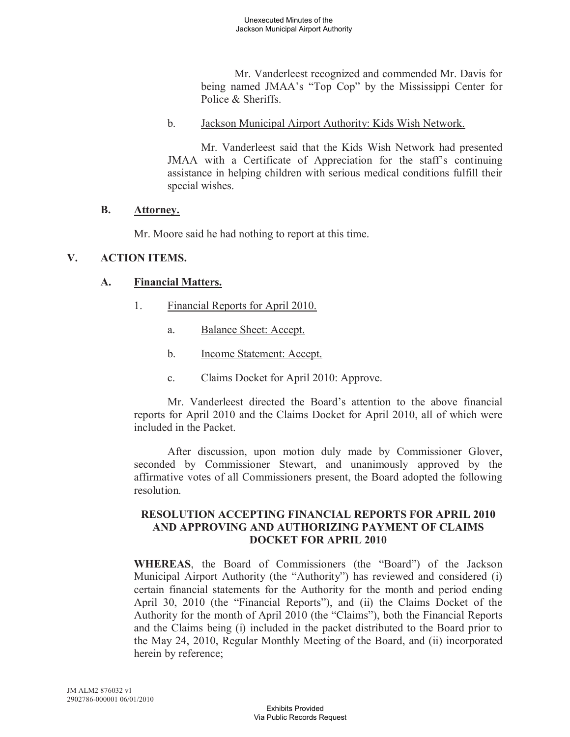Mr. Vanderleest recognized and commended Mr. Davis for being named JMAA's "Top Cop" by the Mississippi Center for Police & Sheriffs.

#### b. Jackson Municipal Airport Authority: Kids Wish Network.

Mr. Vanderleest said that the Kids Wish Network had presented JMAA with a Certificate of Appreciation for the staff's continuing assistance in helping children with serious medical conditions fulfill their special wishes.

### **B. Attorney.**

Mr. Moore said he had nothing to report at this time.

## **V. ACTION ITEMS.**

# **A. Financial Matters.**

- 1. Financial Reports for April 2010.
	- a. Balance Sheet: Accept.
	- b. Income Statement: Accept.
	- c. Claims Docket for April 2010: Approve.

Mr. Vanderleest directed the Board's attention to the above financial reports for April 2010 and the Claims Docket for April 2010, all of which were included in the Packet.

After discussion, upon motion duly made by Commissioner Glover, seconded by Commissioner Stewart, and unanimously approved by the affirmative votes of all Commissioners present, the Board adopted the following resolution.

### **RESOLUTION ACCEPTING FINANCIAL REPORTS FOR APRIL 2010 AND APPROVING AND AUTHORIZING PAYMENT OF CLAIMS DOCKET FOR APRIL 2010**

**WHEREAS**, the Board of Commissioners (the "Board") of the Jackson Municipal Airport Authority (the "Authority") has reviewed and considered (i) certain financial statements for the Authority for the month and period ending April 30, 2010 (the "Financial Reports"), and (ii) the Claims Docket of the Authority for the month of April 2010 (the "Claims"), both the Financial Reports and the Claims being (i) included in the packet distributed to the Board prior to the May 24, 2010, Regular Monthly Meeting of the Board, and (ii) incorporated herein by reference;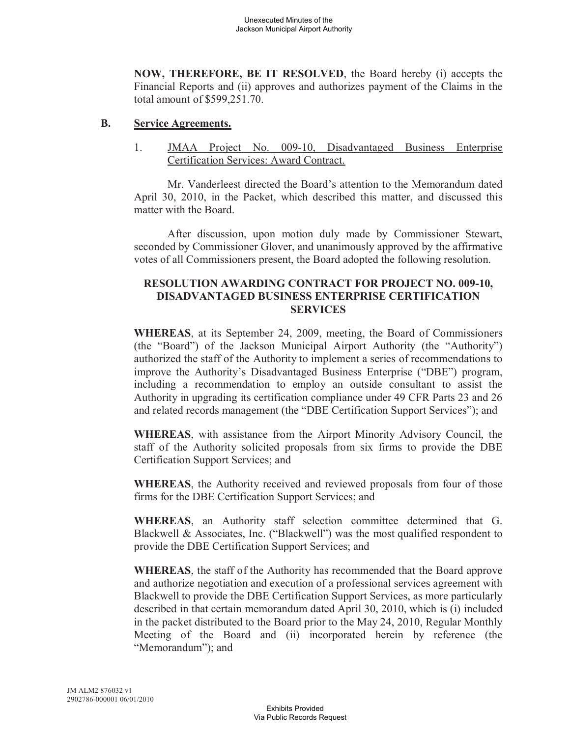**NOW, THEREFORE, BE IT RESOLVED**, the Board hereby (i) accepts the Financial Reports and (ii) approves and authorizes payment of the Claims in the total amount of \$599,251.70.

### **B. Service Agreements.**

1. **JMAA Project No. 009-10, Disadvantaged Business Enterprise** Certification Services: Award Contract.

Mr. Vanderleest directed the Board's attention to the Memorandum dated April 30, 2010, in the Packet, which described this matter, and discussed this matter with the Board.

After discussion, upon motion duly made by Commissioner Stewart, seconded by Commissioner Glover, and unanimously approved by the affirmative votes of all Commissioners present, the Board adopted the following resolution.

## **RESOLUTION AWARDING CONTRACT FOR PROJECT NO. 009-10, DISADVANTAGED BUSINESS ENTERPRISE CERTIFICATION SERVICES**

**WHEREAS**, at its September 24, 2009, meeting, the Board of Commissioners (the "Board") of the Jackson Municipal Airport Authority (the "Authority") authorized the staff of the Authority to implement a series of recommendations to improve the Authority's Disadvantaged Business Enterprise ("DBE") program, including a recommendation to employ an outside consultant to assist the Authority in upgrading its certification compliance under 49 CFR Parts 23 and 26 and related records management (the "DBE Certification Support Services"); and

**WHEREAS**, with assistance from the Airport Minority Advisory Council, the staff of the Authority solicited proposals from six firms to provide the DBE Certification Support Services; and

**WHEREAS**, the Authority received and reviewed proposals from four of those firms for the DBE Certification Support Services; and

**WHEREAS**, an Authority staff selection committee determined that G. Blackwell & Associates, Inc. ("Blackwell") was the most qualified respondent to provide the DBE Certification Support Services; and

**WHEREAS**, the staff of the Authority has recommended that the Board approve and authorize negotiation and execution of a professional services agreement with Blackwell to provide the DBE Certification Support Services, as more particularly described in that certain memorandum dated April 30, 2010, which is (i) included in the packet distributed to the Board prior to the May 24, 2010, Regular Monthly Meeting of the Board and (ii) incorporated herein by reference (the "Memorandum"); and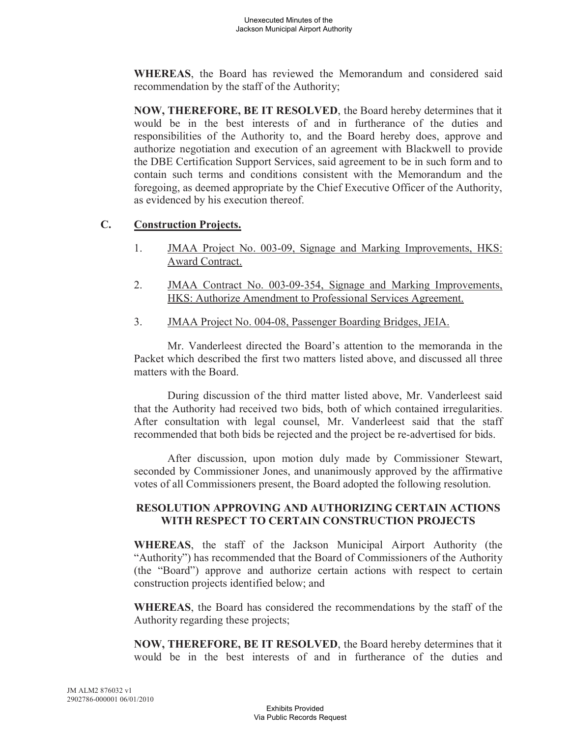**WHEREAS**, the Board has reviewed the Memorandum and considered said recommendation by the staff of the Authority;

**NOW, THEREFORE, BE IT RESOLVED**, the Board hereby determines that it would be in the best interests of and in furtherance of the duties and responsibilities of the Authority to, and the Board hereby does, approve and authorize negotiation and execution of an agreement with Blackwell to provide the DBE Certification Support Services, said agreement to be in such form and to contain such terms and conditions consistent with the Memorandum and the foregoing, as deemed appropriate by the Chief Executive Officer of the Authority, as evidenced by his execution thereof.

## **C. Construction Projects.**

- 1. JMAA Project No. 003-09, Signage and Marking Improvements, HKS: Award Contract.
- 2. JMAA Contract No. 003-09-354, Signage and Marking Improvements, HKS: Authorize Amendment to Professional Services Agreement.
- 3. JMAA Project No. 004-08, Passenger Boarding Bridges, JEIA.

Mr. Vanderleest directed the Board's attention to the memoranda in the Packet which described the first two matters listed above, and discussed all three matters with the Board.

During discussion of the third matter listed above, Mr. Vanderleest said that the Authority had received two bids, both of which contained irregularities. After consultation with legal counsel, Mr. Vanderleest said that the staff recommended that both bids be rejected and the project be re-advertised for bids.

After discussion, upon motion duly made by Commissioner Stewart, seconded by Commissioner Jones, and unanimously approved by the affirmative votes of all Commissioners present, the Board adopted the following resolution.

## **RESOLUTION APPROVING AND AUTHORIZING CERTAIN ACTIONS WITH RESPECT TO CERTAIN CONSTRUCTION PROJECTS**

**WHEREAS**, the staff of the Jackson Municipal Airport Authority (the "Authority") has recommended that the Board of Commissioners of the Authority (the "Board") approve and authorize certain actions with respect to certain construction projects identified below; and

**WHEREAS**, the Board has considered the recommendations by the staff of the Authority regarding these projects;

**NOW, THEREFORE, BE IT RESOLVED**, the Board hereby determines that it would be in the best interests of and in furtherance of the duties and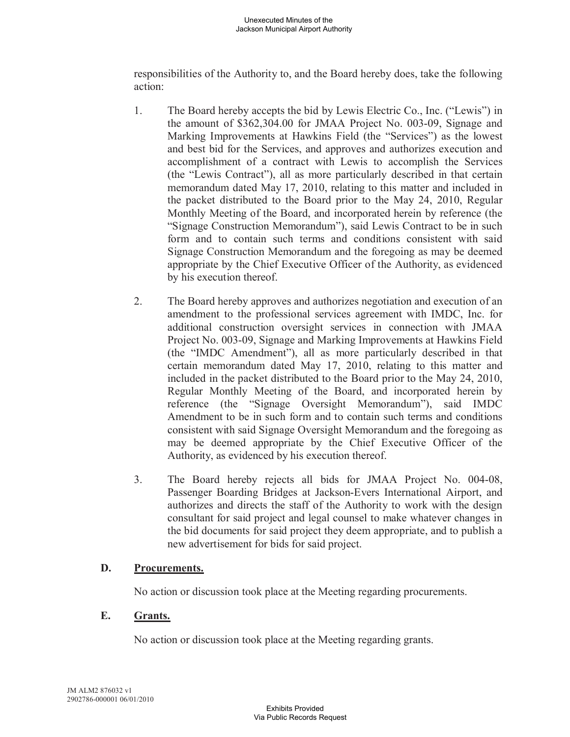responsibilities of the Authority to, and the Board hereby does, take the following action:

- 1. The Board hereby accepts the bid by Lewis Electric Co., Inc. ("Lewis") in the amount of \$362,304.00 for JMAA Project No. 003-09, Signage and Marking Improvements at Hawkins Field (the "Services") as the lowest and best bid for the Services, and approves and authorizes execution and accomplishment of a contract with Lewis to accomplish the Services (the "Lewis Contract"), all as more particularly described in that certain memorandum dated May 17, 2010, relating to this matter and included in the packet distributed to the Board prior to the May 24, 2010, Regular Monthly Meeting of the Board, and incorporated herein by reference (the "Signage Construction Memorandum"), said Lewis Contract to be in such form and to contain such terms and conditions consistent with said Signage Construction Memorandum and the foregoing as may be deemed appropriate by the Chief Executive Officer of the Authority, as evidenced by his execution thereof.
- 2. The Board hereby approves and authorizes negotiation and execution of an amendment to the professional services agreement with IMDC, Inc. for additional construction oversight services in connection with JMAA Project No. 003-09, Signage and Marking Improvements at Hawkins Field (the "IMDC Amendment"), all as more particularly described in that certain memorandum dated May 17, 2010, relating to this matter and included in the packet distributed to the Board prior to the May 24, 2010, Regular Monthly Meeting of the Board, and incorporated herein by reference (the "Signage Oversight Memorandum"), said IMDC Amendment to be in such form and to contain such terms and conditions consistent with said Signage Oversight Memorandum and the foregoing as may be deemed appropriate by the Chief Executive Officer of the Authority, as evidenced by his execution thereof.
- 3. The Board hereby rejects all bids for JMAA Project No. 004-08, Passenger Boarding Bridges at Jackson-Evers International Airport, and authorizes and directs the staff of the Authority to work with the design consultant for said project and legal counsel to make whatever changes in the bid documents for said project they deem appropriate, and to publish a new advertisement for bids for said project.

## **D. Procurements.**

No action or discussion took place at the Meeting regarding procurements.

### **E. Grants.**

No action or discussion took place at the Meeting regarding grants.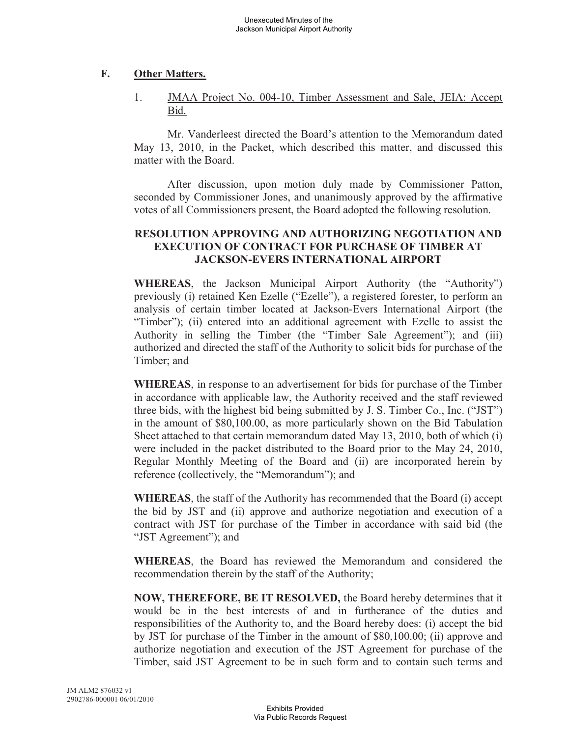# **F. Other Matters.**

1. JMAA Project No. 004-10, Timber Assessment and Sale, JEIA: Accept Bid.

Mr. Vanderleest directed the Board's attention to the Memorandum dated May 13, 2010, in the Packet, which described this matter, and discussed this matter with the Board.

After discussion, upon motion duly made by Commissioner Patton, seconded by Commissioner Jones, and unanimously approved by the affirmative votes of all Commissioners present, the Board adopted the following resolution.

## **RESOLUTION APPROVING AND AUTHORIZING NEGOTIATION AND EXECUTION OF CONTRACT FOR PURCHASE OF TIMBER AT JACKSON-EVERS INTERNATIONAL AIRPORT**

**WHEREAS**, the Jackson Municipal Airport Authority (the "Authority") previously (i) retained Ken Ezelle ("Ezelle"), a registered forester, to perform an analysis of certain timber located at Jackson-Evers International Airport (the "Timber"); (ii) entered into an additional agreement with Ezelle to assist the Authority in selling the Timber (the "Timber Sale Agreement"); and (iii) authorized and directed the staff of the Authority to solicit bids for purchase of the Timber; and

**WHEREAS**, in response to an advertisement for bids for purchase of the Timber in accordance with applicable law, the Authority received and the staff reviewed three bids, with the highest bid being submitted by J. S. Timber Co., Inc. ("JST") in the amount of \$80,100.00, as more particularly shown on the Bid Tabulation Sheet attached to that certain memorandum dated May 13, 2010, both of which (i) were included in the packet distributed to the Board prior to the May 24, 2010, Regular Monthly Meeting of the Board and (ii) are incorporated herein by reference (collectively, the "Memorandum"); and

**WHEREAS**, the staff of the Authority has recommended that the Board (i) accept the bid by JST and (ii) approve and authorize negotiation and execution of a contract with JST for purchase of the Timber in accordance with said bid (the "JST Agreement"); and

**WHEREAS**, the Board has reviewed the Memorandum and considered the recommendation therein by the staff of the Authority;

**NOW, THEREFORE, BE IT RESOLVED,** the Board hereby determines that it would be in the best interests of and in furtherance of the duties and responsibilities of the Authority to, and the Board hereby does: (i) accept the bid by JST for purchase of the Timber in the amount of \$80,100.00; (ii) approve and authorize negotiation and execution of the JST Agreement for purchase of the Timber, said JST Agreement to be in such form and to contain such terms and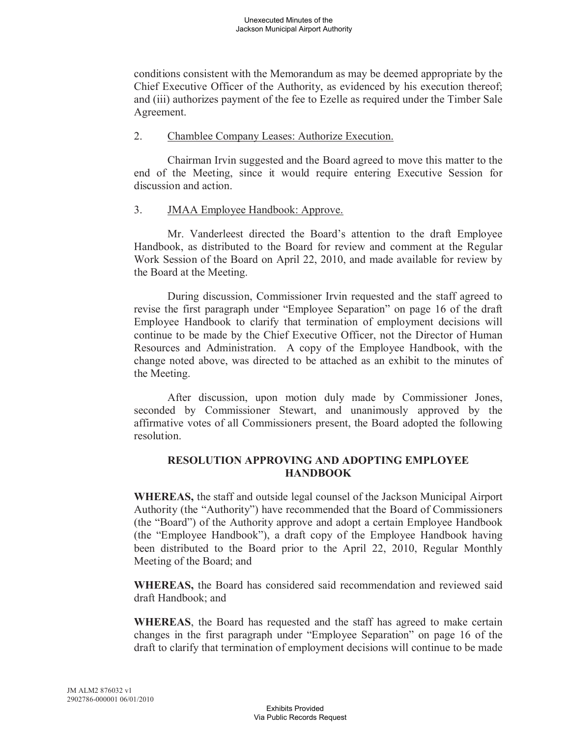conditions consistent with the Memorandum as may be deemed appropriate by the Chief Executive Officer of the Authority, as evidenced by his execution thereof; and (iii) authorizes payment of the fee to Ezelle as required under the Timber Sale Agreement.

### 2. Chamblee Company Leases: Authorize Execution.

Chairman Irvin suggested and the Board agreed to move this matter to the end of the Meeting, since it would require entering Executive Session for discussion and action.

### 3. JMAA Employee Handbook: Approve.

Mr. Vanderleest directed the Board's attention to the draft Employee Handbook, as distributed to the Board for review and comment at the Regular Work Session of the Board on April 22, 2010, and made available for review by the Board at the Meeting.

During discussion, Commissioner Irvin requested and the staff agreed to revise the first paragraph under "Employee Separation" on page 16 of the draft Employee Handbook to clarify that termination of employment decisions will continue to be made by the Chief Executive Officer, not the Director of Human Resources and Administration. A copy of the Employee Handbook, with the change noted above, was directed to be attached as an exhibit to the minutes of the Meeting.

After discussion, upon motion duly made by Commissioner Jones, seconded by Commissioner Stewart, and unanimously approved by the affirmative votes of all Commissioners present, the Board adopted the following resolution.

### **RESOLUTION APPROVING AND ADOPTING EMPLOYEE HANDBOOK**

**WHEREAS,** the staff and outside legal counsel of the Jackson Municipal Airport Authority (the "Authority") have recommended that the Board of Commissioners (the "Board") of the Authority approve and adopt a certain Employee Handbook (the "Employee Handbook"), a draft copy of the Employee Handbook having been distributed to the Board prior to the April 22, 2010, Regular Monthly Meeting of the Board; and

**WHEREAS,** the Board has considered said recommendation and reviewed said draft Handbook; and

**WHEREAS**, the Board has requested and the staff has agreed to make certain changes in the first paragraph under "Employee Separation" on page 16 of the draft to clarify that termination of employment decisions will continue to be made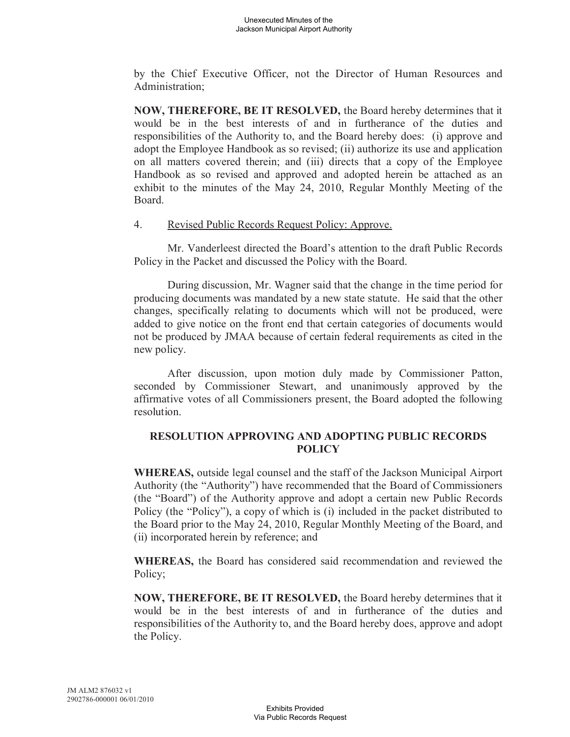by the Chief Executive Officer, not the Director of Human Resources and Administration;

**NOW, THEREFORE, BE IT RESOLVED,** the Board hereby determines that it would be in the best interests of and in furtherance of the duties and responsibilities of the Authority to, and the Board hereby does: (i) approve and adopt the Employee Handbook as so revised; (ii) authorize its use and application on all matters covered therein; and (iii) directs that a copy of the Employee Handbook as so revised and approved and adopted herein be attached as an exhibit to the minutes of the May 24, 2010, Regular Monthly Meeting of the Board.

#### 4. Revised Public Records Request Policy: Approve.

Mr. Vanderleest directed the Board's attention to the draft Public Records Policy in the Packet and discussed the Policy with the Board.

During discussion, Mr. Wagner said that the change in the time period for producing documents was mandated by a new state statute. He said that the other changes, specifically relating to documents which will not be produced, were added to give notice on the front end that certain categories of documents would not be produced by JMAA because of certain federal requirements as cited in the new policy.

After discussion, upon motion duly made by Commissioner Patton, seconded by Commissioner Stewart, and unanimously approved by the affirmative votes of all Commissioners present, the Board adopted the following resolution.

## **RESOLUTION APPROVING AND ADOPTING PUBLIC RECORDS POLICY**

**WHEREAS,** outside legal counsel and the staff of the Jackson Municipal Airport Authority (the "Authority") have recommended that the Board of Commissioners (the "Board") of the Authority approve and adopt a certain new Public Records Policy (the "Policy"), a copy of which is (i) included in the packet distributed to the Board prior to the May 24, 2010, Regular Monthly Meeting of the Board, and (ii) incorporated herein by reference; and

**WHEREAS,** the Board has considered said recommendation and reviewed the Policy;

**NOW, THEREFORE, BE IT RESOLVED,** the Board hereby determines that it would be in the best interests of and in furtherance of the duties and responsibilities of the Authority to, and the Board hereby does, approve and adopt the Policy.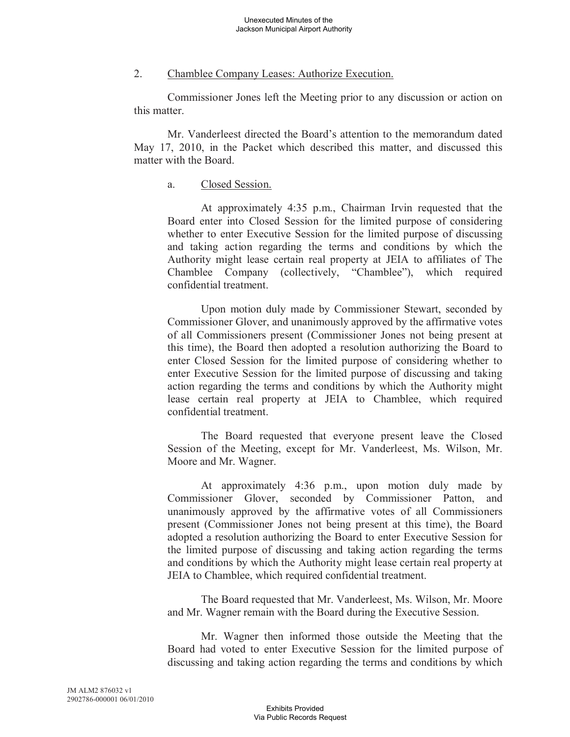### 2. Chamblee Company Leases: Authorize Execution.

Commissioner Jones left the Meeting prior to any discussion or action on this matter.

Mr. Vanderleest directed the Board's attention to the memorandum dated May 17, 2010, in the Packet which described this matter, and discussed this matter with the Board.

## a. Closed Session.

At approximately 4:35 p.m., Chairman Irvin requested that the Board enter into Closed Session for the limited purpose of considering whether to enter Executive Session for the limited purpose of discussing and taking action regarding the terms and conditions by which the Authority might lease certain real property at JEIA to affiliates of The Chamblee Company (collectively, "Chamblee"), which required confidential treatment.

Upon motion duly made by Commissioner Stewart, seconded by Commissioner Glover, and unanimously approved by the affirmative votes of all Commissioners present (Commissioner Jones not being present at this time), the Board then adopted a resolution authorizing the Board to enter Closed Session for the limited purpose of considering whether to enter Executive Session for the limited purpose of discussing and taking action regarding the terms and conditions by which the Authority might lease certain real property at JEIA to Chamblee, which required confidential treatment.

The Board requested that everyone present leave the Closed Session of the Meeting, except for Mr. Vanderleest, Ms. Wilson, Mr. Moore and Mr. Wagner.

At approximately 4:36 p.m., upon motion duly made by Commissioner Glover, seconded by Commissioner Patton, and unanimously approved by the affirmative votes of all Commissioners present (Commissioner Jones not being present at this time), the Board adopted a resolution authorizing the Board to enter Executive Session for the limited purpose of discussing and taking action regarding the terms and conditions by which the Authority might lease certain real property at JEIA to Chamblee, which required confidential treatment.

The Board requested that Mr. Vanderleest, Ms. Wilson, Mr. Moore and Mr. Wagner remain with the Board during the Executive Session.

Mr. Wagner then informed those outside the Meeting that the Board had voted to enter Executive Session for the limited purpose of discussing and taking action regarding the terms and conditions by which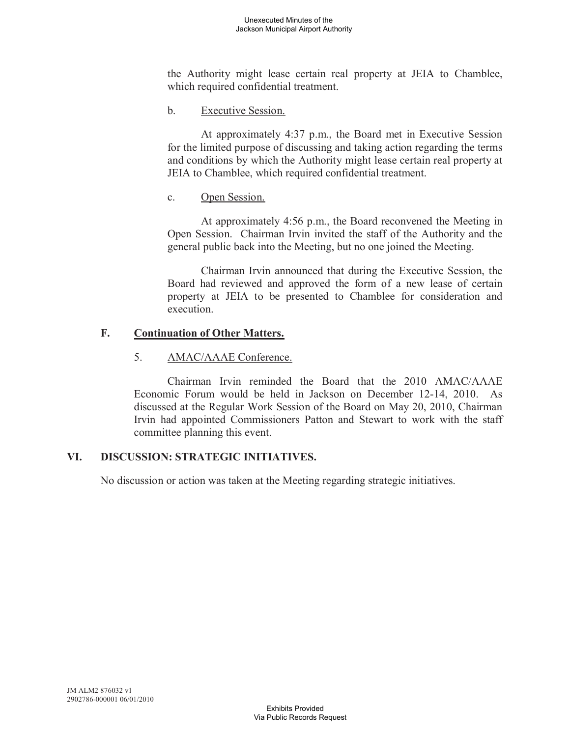the Authority might lease certain real property at JEIA to Chamblee, which required confidential treatment.

b. Executive Session.

At approximately 4:37 p.m., the Board met in Executive Session for the limited purpose of discussing and taking action regarding the terms and conditions by which the Authority might lease certain real property at JEIA to Chamblee, which required confidential treatment.

c. Open Session.

At approximately 4:56 p.m., the Board reconvened the Meeting in Open Session. Chairman Irvin invited the staff of the Authority and the general public back into the Meeting, but no one joined the Meeting.

Chairman Irvin announced that during the Executive Session, the Board had reviewed and approved the form of a new lease of certain property at JEIA to be presented to Chamblee for consideration and execution.

# **F. Continuation of Other Matters.**

## 5. AMAC/AAAE Conference.

Chairman Irvin reminded the Board that the 2010 AMAC/AAAE Economic Forum would be held in Jackson on December 12-14, 2010. As discussed at the Regular Work Session of the Board on May 20, 2010, Chairman Irvin had appointed Commissioners Patton and Stewart to work with the staff committee planning this event.

## **VI. DISCUSSION: STRATEGIC INITIATIVES.**

No discussion or action was taken at the Meeting regarding strategic initiatives.